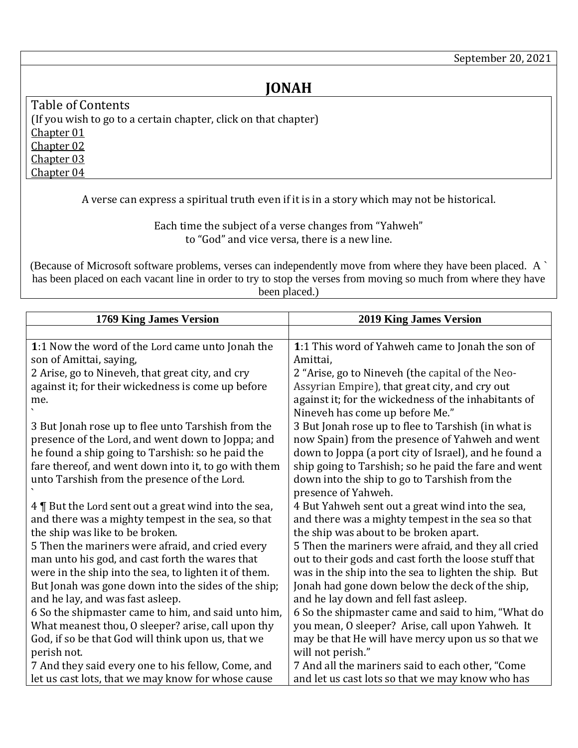## **JONAH**

<span id="page-0-3"></span><span id="page-0-2"></span><span id="page-0-1"></span>Table of Contents (If you wish to go to a certain chapter, click on that chapter) [Chapter 01](#page-0-0) [Chapter 02](#page-1-0) [Chapter 03](#page-2-0) [Chapter 04](#page-3-0)

<span id="page-0-4"></span>A verse can express a spiritual truth even if it is in a story which may not be historical.

Each time the subject of a verse changes from "Yahweh" to "God" and vice versa, there is a new line.

(Because of Microsoft software problems, verses can independently move from where they have been placed. A ` has been placed on each vacant line in order to try to stop the verses from moving so much from where they have been placed.)

<span id="page-0-0"></span>

| 1769 King James Version                               | <b>2019 King James Version</b>                        |
|-------------------------------------------------------|-------------------------------------------------------|
|                                                       |                                                       |
| 1:1 Now the word of the Lord came unto Jonah the      | 1:1 This word of Yahweh came to Jonah the son of      |
| son of Amittai, saying,                               | Amittai,                                              |
| 2 Arise, go to Nineveh, that great city, and cry      | 2 "Arise, go to Nineveh (the capital of the Neo-      |
| against it; for their wickedness is come up before    | Assyrian Empire), that great city, and cry out        |
| me.                                                   | against it; for the wickedness of the inhabitants of  |
|                                                       | Nineveh has come up before Me."                       |
| 3 But Jonah rose up to flee unto Tarshish from the    | 3 But Jonah rose up to flee to Tarshish (in what is   |
| presence of the Lord, and went down to Joppa; and     | now Spain) from the presence of Yahweh and went       |
| he found a ship going to Tarshish: so he paid the     | down to Joppa (a port city of Israel), and he found a |
| fare thereof, and went down into it, to go with them  | ship going to Tarshish; so he paid the fare and went  |
| unto Tarshish from the presence of the Lord.          | down into the ship to go to Tarshish from the         |
|                                                       | presence of Yahweh.                                   |
| 4   But the Lord sent out a great wind into the sea,  | 4 But Yahweh sent out a great wind into the sea,      |
| and there was a mighty tempest in the sea, so that    | and there was a mighty tempest in the sea so that     |
| the ship was like to be broken.                       | the ship was about to be broken apart.                |
| 5 Then the mariners were afraid, and cried every      | 5 Then the mariners were afraid, and they all cried   |
| man unto his god, and cast forth the wares that       | out to their gods and cast forth the loose stuff that |
| were in the ship into the sea, to lighten it of them. | was in the ship into the sea to lighten the ship. But |
| But Jonah was gone down into the sides of the ship;   | Jonah had gone down below the deck of the ship,       |
| and he lay, and was fast asleep.                      | and he lay down and fell fast asleep.                 |
| 6 So the shipmaster came to him, and said unto him,   | 6 So the shipmaster came and said to him, "What do    |
| What meanest thou, O sleeper? arise, call upon thy    | you mean, O sleeper? Arise, call upon Yahweh. It      |
| God, if so be that God will think upon us, that we    | may be that He will have mercy upon us so that we     |
| perish not.                                           | will not perish."                                     |
| 7 And they said every one to his fellow, Come, and    | 7 And all the mariners said to each other, "Come      |
| let us cast lots, that we may know for whose cause    | and let us cast lots so that we may know who has      |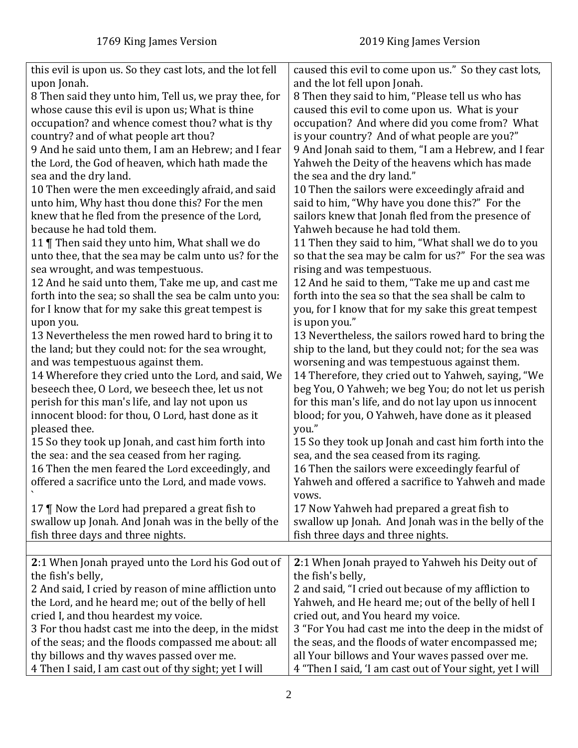<span id="page-1-0"></span>

| this evil is upon us. So they cast lots, and the lot fell                                                                                             | caused this evil to come upon us." So they cast lots,                                                                                                     |
|-------------------------------------------------------------------------------------------------------------------------------------------------------|-----------------------------------------------------------------------------------------------------------------------------------------------------------|
| upon Jonah.                                                                                                                                           | and the lot fell upon Jonah.                                                                                                                              |
| 8 Then said they unto him, Tell us, we pray thee, for                                                                                                 | 8 Then they said to him, "Please tell us who has                                                                                                          |
| whose cause this evil is upon us; What is thine                                                                                                       | caused this evil to come upon us. What is your                                                                                                            |
| occupation? and whence comest thou? what is thy                                                                                                       | occupation? And where did you come from? What                                                                                                             |
| country? and of what people art thou?                                                                                                                 | is your country? And of what people are you?"                                                                                                             |
| 9 And he said unto them, I am an Hebrew; and I fear                                                                                                   | 9 And Jonah said to them, "I am a Hebrew, and I fear                                                                                                      |
| the Lord, the God of heaven, which hath made the                                                                                                      | Yahweh the Deity of the heavens which has made                                                                                                            |
| sea and the dry land.                                                                                                                                 | the sea and the dry land."                                                                                                                                |
| 10 Then were the men exceedingly afraid, and said                                                                                                     | 10 Then the sailors were exceedingly afraid and                                                                                                           |
| unto him, Why hast thou done this? For the men                                                                                                        | said to him, "Why have you done this?" For the                                                                                                            |
| knew that he fled from the presence of the Lord,                                                                                                      | sailors knew that Jonah fled from the presence of                                                                                                         |
| because he had told them.                                                                                                                             | Yahweh because he had told them.                                                                                                                          |
| 11   Then said they unto him, What shall we do                                                                                                        | 11 Then they said to him, "What shall we do to you                                                                                                        |
| unto thee, that the sea may be calm unto us? for the                                                                                                  | so that the sea may be calm for us?" For the sea was                                                                                                      |
| sea wrought, and was tempestuous.                                                                                                                     | rising and was tempestuous.                                                                                                                               |
| 12 And he said unto them, Take me up, and cast me                                                                                                     | 12 And he said to them, "Take me up and cast me                                                                                                           |
| forth into the sea; so shall the sea be calm unto you:                                                                                                | forth into the sea so that the sea shall be calm to                                                                                                       |
| for I know that for my sake this great tempest is                                                                                                     | you, for I know that for my sake this great tempest                                                                                                       |
| upon you.                                                                                                                                             | is upon you."                                                                                                                                             |
| 13 Nevertheless the men rowed hard to bring it to                                                                                                     | 13 Nevertheless, the sailors rowed hard to bring the                                                                                                      |
| the land; but they could not: for the sea wrought,                                                                                                    | ship to the land, but they could not; for the sea was                                                                                                     |
| and was tempestuous against them.                                                                                                                     | worsening and was tempestuous against them.                                                                                                               |
| 14 Wherefore they cried unto the Lord, and said, We                                                                                                   | 14 Therefore, they cried out to Yahweh, saying, "We                                                                                                       |
| beseech thee, O Lord, we beseech thee, let us not                                                                                                     | beg You, O Yahweh; we beg You; do not let us perish                                                                                                       |
| perish for this man's life, and lay not upon us                                                                                                       | for this man's life, and do not lay upon us innocent                                                                                                      |
| innocent blood: for thou, O Lord, hast done as it                                                                                                     | blood; for you, O Yahweh, have done as it pleased                                                                                                         |
| pleased thee.                                                                                                                                         | you."                                                                                                                                                     |
| 15 So they took up Jonah, and cast him forth into                                                                                                     | 15 So they took up Jonah and cast him forth into the                                                                                                      |
| the sea: and the sea ceased from her raging.<br>16 Then the men feared the Lord exceedingly, and<br>offered a sacrifice unto the Lord, and made vows. | sea, and the sea ceased from its raging.<br>16 Then the sailors were exceedingly fearful of<br>Yahweh and offered a sacrifice to Yahweh and made<br>vows. |
| 17   Now the Lord had prepared a great fish to                                                                                                        | 17 Now Yahweh had prepared a great fish to                                                                                                                |
| swallow up Jonah. And Jonah was in the belly of the                                                                                                   | swallow up Jonah. And Jonah was in the belly of the                                                                                                       |
| fish three days and three nights.                                                                                                                     | fish three days and three nights.                                                                                                                         |
|                                                                                                                                                       |                                                                                                                                                           |
| 2:1 When Jonah prayed unto the Lord his God out of                                                                                                    | 2:1 When Jonah prayed to Yahweh his Deity out of                                                                                                          |
| the fish's belly,                                                                                                                                     | the fish's belly,                                                                                                                                         |
| 2 And said, I cried by reason of mine affliction unto                                                                                                 | 2 and said, "I cried out because of my affliction to                                                                                                      |
| the Lord, and he heard me; out of the belly of hell                                                                                                   | Yahweh, and He heard me; out of the belly of hell I                                                                                                       |
| cried I, and thou heardest my voice.                                                                                                                  | cried out, and You heard my voice.                                                                                                                        |
| 3 For thou hadst cast me into the deep, in the midst                                                                                                  | 3 "For You had cast me into the deep in the midst of                                                                                                      |
| of the seas; and the floods compassed me about: all                                                                                                   | the seas, and the floods of water encompassed me;                                                                                                         |
| thy billows and thy waves passed over me.                                                                                                             | all Your billows and Your waves passed over me.                                                                                                           |
| 4 Then I said, I am cast out of thy sight; yet I will                                                                                                 | 4 "Then I said, 'I am cast out of Your sight, yet I will                                                                                                  |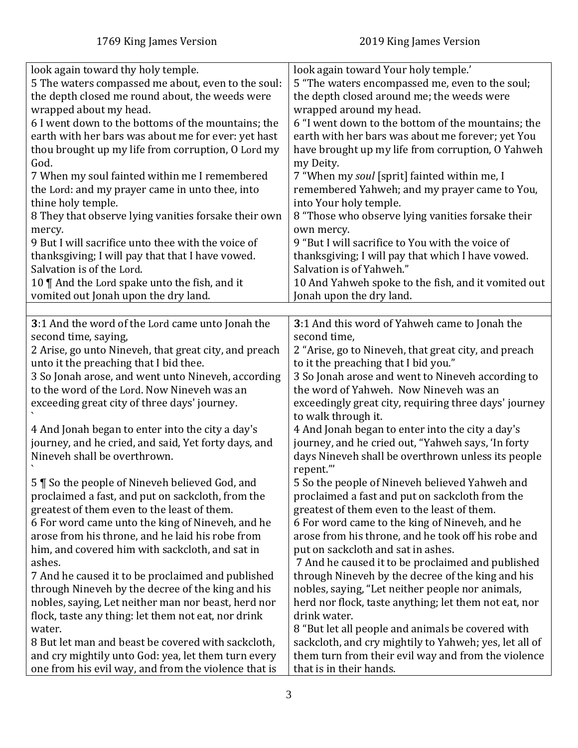<span id="page-2-0"></span>

| look again toward thy holy temple.<br>5 The waters compassed me about, even to the soul:<br>the depth closed me round about, the weeds were<br>wrapped about my head.<br>6 I went down to the bottoms of the mountains; the<br>earth with her bars was about me for ever: yet hast<br>thou brought up my life from corruption, O Lord my<br>God.<br>7 When my soul fainted within me I remembered<br>the Lord: and my prayer came in unto thee, into<br>thine holy temple.<br>8 They that observe lying vanities forsake their own<br>mercy.<br>9 But I will sacrifice unto thee with the voice of<br>thanksgiving; I will pay that that I have vowed.<br>Salvation is of the Lord.<br>10 $\P$ And the Lord spake unto the fish, and it | look again toward Your holy temple.'<br>5 "The waters encompassed me, even to the soul;<br>the depth closed around me; the weeds were<br>wrapped around my head.<br>6 "I went down to the bottom of the mountains; the<br>earth with her bars was about me forever; yet You<br>have brought up my life from corruption, O Yahweh<br>my Deity.<br>7 "When my soul [sprit] fainted within me, I<br>remembered Yahweh; and my prayer came to You,<br>into Your holy temple.<br>8 "Those who observe lying vanities forsake their<br>own mercy.<br>9 "But I will sacrifice to You with the voice of<br>thanksgiving; I will pay that which I have vowed.<br>Salvation is of Yahweh."<br>10 And Yahweh spoke to the fish, and it vomited out |
|-----------------------------------------------------------------------------------------------------------------------------------------------------------------------------------------------------------------------------------------------------------------------------------------------------------------------------------------------------------------------------------------------------------------------------------------------------------------------------------------------------------------------------------------------------------------------------------------------------------------------------------------------------------------------------------------------------------------------------------------|-----------------------------------------------------------------------------------------------------------------------------------------------------------------------------------------------------------------------------------------------------------------------------------------------------------------------------------------------------------------------------------------------------------------------------------------------------------------------------------------------------------------------------------------------------------------------------------------------------------------------------------------------------------------------------------------------------------------------------------------|
| vomited out Jonah upon the dry land.                                                                                                                                                                                                                                                                                                                                                                                                                                                                                                                                                                                                                                                                                                    | Jonah upon the dry land.                                                                                                                                                                                                                                                                                                                                                                                                                                                                                                                                                                                                                                                                                                                |
| 3:1 And the word of the Lord came unto Jonah the                                                                                                                                                                                                                                                                                                                                                                                                                                                                                                                                                                                                                                                                                        | 3:1 And this word of Yahweh came to Jonah the                                                                                                                                                                                                                                                                                                                                                                                                                                                                                                                                                                                                                                                                                           |
| second time, saying,                                                                                                                                                                                                                                                                                                                                                                                                                                                                                                                                                                                                                                                                                                                    | second time,                                                                                                                                                                                                                                                                                                                                                                                                                                                                                                                                                                                                                                                                                                                            |
| 2 Arise, go unto Nineveh, that great city, and preach                                                                                                                                                                                                                                                                                                                                                                                                                                                                                                                                                                                                                                                                                   | 2 "Arise, go to Nineveh, that great city, and preach                                                                                                                                                                                                                                                                                                                                                                                                                                                                                                                                                                                                                                                                                    |
| unto it the preaching that I bid thee.<br>3 So Jonah arose, and went unto Nineveh, according                                                                                                                                                                                                                                                                                                                                                                                                                                                                                                                                                                                                                                            | to it the preaching that I bid you."<br>3 So Jonah arose and went to Nineveh according to                                                                                                                                                                                                                                                                                                                                                                                                                                                                                                                                                                                                                                               |
| to the word of the Lord. Now Nineveh was an                                                                                                                                                                                                                                                                                                                                                                                                                                                                                                                                                                                                                                                                                             | the word of Yahweh. Now Nineveh was an                                                                                                                                                                                                                                                                                                                                                                                                                                                                                                                                                                                                                                                                                                  |
| exceeding great city of three days' journey.                                                                                                                                                                                                                                                                                                                                                                                                                                                                                                                                                                                                                                                                                            | exceedingly great city, requiring three days' journey<br>to walk through it.                                                                                                                                                                                                                                                                                                                                                                                                                                                                                                                                                                                                                                                            |
| 4 And Jonah began to enter into the city a day's                                                                                                                                                                                                                                                                                                                                                                                                                                                                                                                                                                                                                                                                                        | 4 And Jonah began to enter into the city a day's                                                                                                                                                                                                                                                                                                                                                                                                                                                                                                                                                                                                                                                                                        |
| journey, and he cried, and said, Yet forty days, and                                                                                                                                                                                                                                                                                                                                                                                                                                                                                                                                                                                                                                                                                    | journey, and he cried out, "Yahweh says, 'In forty                                                                                                                                                                                                                                                                                                                                                                                                                                                                                                                                                                                                                                                                                      |
| Nineveh shall be overthrown.                                                                                                                                                                                                                                                                                                                                                                                                                                                                                                                                                                                                                                                                                                            | days Nineveh shall be overthrown unless its people<br>repent."                                                                                                                                                                                                                                                                                                                                                                                                                                                                                                                                                                                                                                                                          |
| 5   So the people of Nineveh believed God, and                                                                                                                                                                                                                                                                                                                                                                                                                                                                                                                                                                                                                                                                                          | 5 So the people of Nineveh believed Yahweh and                                                                                                                                                                                                                                                                                                                                                                                                                                                                                                                                                                                                                                                                                          |
| proclaimed a fast, and put on sackcloth, from the                                                                                                                                                                                                                                                                                                                                                                                                                                                                                                                                                                                                                                                                                       | proclaimed a fast and put on sackcloth from the                                                                                                                                                                                                                                                                                                                                                                                                                                                                                                                                                                                                                                                                                         |
| greatest of them even to the least of them.                                                                                                                                                                                                                                                                                                                                                                                                                                                                                                                                                                                                                                                                                             | greatest of them even to the least of them.                                                                                                                                                                                                                                                                                                                                                                                                                                                                                                                                                                                                                                                                                             |
| 6 For word came unto the king of Nineveh, and he<br>arose from his throne, and he laid his robe from                                                                                                                                                                                                                                                                                                                                                                                                                                                                                                                                                                                                                                    | 6 For word came to the king of Nineveh, and he<br>arose from his throne, and he took off his robe and                                                                                                                                                                                                                                                                                                                                                                                                                                                                                                                                                                                                                                   |
| him, and covered him with sackcloth, and sat in                                                                                                                                                                                                                                                                                                                                                                                                                                                                                                                                                                                                                                                                                         | put on sackcloth and sat in ashes.                                                                                                                                                                                                                                                                                                                                                                                                                                                                                                                                                                                                                                                                                                      |
| ashes.                                                                                                                                                                                                                                                                                                                                                                                                                                                                                                                                                                                                                                                                                                                                  | 7 And he caused it to be proclaimed and published                                                                                                                                                                                                                                                                                                                                                                                                                                                                                                                                                                                                                                                                                       |
| 7 And he caused it to be proclaimed and published                                                                                                                                                                                                                                                                                                                                                                                                                                                                                                                                                                                                                                                                                       | through Nineveh by the decree of the king and his                                                                                                                                                                                                                                                                                                                                                                                                                                                                                                                                                                                                                                                                                       |
| through Nineveh by the decree of the king and his                                                                                                                                                                                                                                                                                                                                                                                                                                                                                                                                                                                                                                                                                       | nobles, saying, "Let neither people nor animals,                                                                                                                                                                                                                                                                                                                                                                                                                                                                                                                                                                                                                                                                                        |
| nobles, saying, Let neither man nor beast, herd nor                                                                                                                                                                                                                                                                                                                                                                                                                                                                                                                                                                                                                                                                                     | herd nor flock, taste anything; let them not eat, nor                                                                                                                                                                                                                                                                                                                                                                                                                                                                                                                                                                                                                                                                                   |
| flock, taste any thing: let them not eat, nor drink                                                                                                                                                                                                                                                                                                                                                                                                                                                                                                                                                                                                                                                                                     | drink water.                                                                                                                                                                                                                                                                                                                                                                                                                                                                                                                                                                                                                                                                                                                            |
| water.                                                                                                                                                                                                                                                                                                                                                                                                                                                                                                                                                                                                                                                                                                                                  | 8 "But let all people and animals be covered with                                                                                                                                                                                                                                                                                                                                                                                                                                                                                                                                                                                                                                                                                       |
| 8 But let man and beast be covered with sackcloth,<br>and cry mightily unto God: yea, let them turn every                                                                                                                                                                                                                                                                                                                                                                                                                                                                                                                                                                                                                               | sackcloth, and cry mightily to Yahweh; yes, let all of<br>them turn from their evil way and from the violence                                                                                                                                                                                                                                                                                                                                                                                                                                                                                                                                                                                                                           |
| one from his evil way, and from the violence that is                                                                                                                                                                                                                                                                                                                                                                                                                                                                                                                                                                                                                                                                                    | that is in their hands.                                                                                                                                                                                                                                                                                                                                                                                                                                                                                                                                                                                                                                                                                                                 |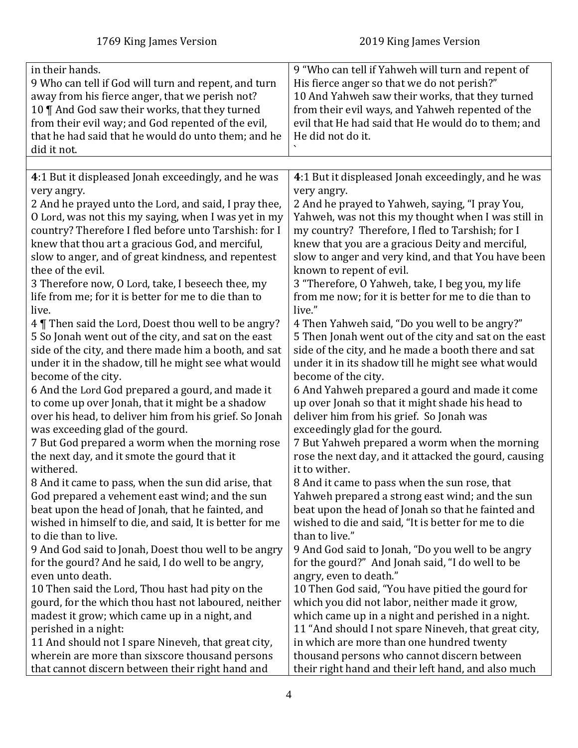<span id="page-3-0"></span>

| in their hands.<br>9 Who can tell if God will turn and repent, and turn<br>away from his fierce anger, that we perish not?<br>10    And God saw their works, that they turned<br>from their evil way; and God repented of the evil,<br>that he had said that he would do unto them; and he<br>did it not.                                                                                                                                                                                                                                                                                                                                                                                                                                                                                                                                                                                                                                                                                                                                                                                                                                                                                                                                                                                                                                                                                                                                                                                                                                                                     | 9 "Who can tell if Yahweh will turn and repent of<br>His fierce anger so that we do not perish?"<br>10 And Yahweh saw their works, that they turned<br>from their evil ways, and Yahweh repented of the<br>evil that He had said that He would do to them; and<br>He did not do it.                                                                                                                                                                                                                                                                                                                                                                                                                                                                                                                                                                                                                                                                                                                                                                                                                                                                                                                                                                                                                                                                                                                                                                                                                                                      |
|-------------------------------------------------------------------------------------------------------------------------------------------------------------------------------------------------------------------------------------------------------------------------------------------------------------------------------------------------------------------------------------------------------------------------------------------------------------------------------------------------------------------------------------------------------------------------------------------------------------------------------------------------------------------------------------------------------------------------------------------------------------------------------------------------------------------------------------------------------------------------------------------------------------------------------------------------------------------------------------------------------------------------------------------------------------------------------------------------------------------------------------------------------------------------------------------------------------------------------------------------------------------------------------------------------------------------------------------------------------------------------------------------------------------------------------------------------------------------------------------------------------------------------------------------------------------------------|------------------------------------------------------------------------------------------------------------------------------------------------------------------------------------------------------------------------------------------------------------------------------------------------------------------------------------------------------------------------------------------------------------------------------------------------------------------------------------------------------------------------------------------------------------------------------------------------------------------------------------------------------------------------------------------------------------------------------------------------------------------------------------------------------------------------------------------------------------------------------------------------------------------------------------------------------------------------------------------------------------------------------------------------------------------------------------------------------------------------------------------------------------------------------------------------------------------------------------------------------------------------------------------------------------------------------------------------------------------------------------------------------------------------------------------------------------------------------------------------------------------------------------------|
|                                                                                                                                                                                                                                                                                                                                                                                                                                                                                                                                                                                                                                                                                                                                                                                                                                                                                                                                                                                                                                                                                                                                                                                                                                                                                                                                                                                                                                                                                                                                                                               |                                                                                                                                                                                                                                                                                                                                                                                                                                                                                                                                                                                                                                                                                                                                                                                                                                                                                                                                                                                                                                                                                                                                                                                                                                                                                                                                                                                                                                                                                                                                          |
| 4:1 But it displeased Jonah exceedingly, and he was<br>very angry.<br>2 And he prayed unto the Lord, and said, I pray thee,<br>O Lord, was not this my saying, when I was yet in my<br>country? Therefore I fled before unto Tarshish: for I<br>knew that thou art a gracious God, and merciful,<br>slow to anger, and of great kindness, and repentest<br>thee of the evil.<br>3 Therefore now, O Lord, take, I beseech thee, my<br>life from me; for it is better for me to die than to<br>live.<br>4 Then said the Lord, Doest thou well to be angry?<br>5 So Jonah went out of the city, and sat on the east<br>side of the city, and there made him a booth, and sat<br>under it in the shadow, till he might see what would<br>become of the city.<br>6 And the Lord God prepared a gourd, and made it<br>to come up over Jonah, that it might be a shadow<br>over his head, to deliver him from his grief. So Jonah<br>was exceeding glad of the gourd.<br>7 But God prepared a worm when the morning rose<br>the next day, and it smote the gourd that it<br>withered.<br>8 And it came to pass, when the sun did arise, that<br>God prepared a vehement east wind; and the sun<br>beat upon the head of Jonah, that he fainted, and<br>wished in himself to die, and said, It is better for me<br>to die than to live.<br>9 And God said to Jonah, Doest thou well to be angry<br>for the gourd? And he said, I do well to be angry,<br>even unto death.<br>10 Then said the Lord, Thou hast had pity on the<br>gourd, for the which thou hast not laboured, neither | 4:1 But it displeased Jonah exceedingly, and he was<br>very angry.<br>2 And he prayed to Yahweh, saying, "I pray You,<br>Yahweh, was not this my thought when I was still in<br>my country? Therefore, I fled to Tarshish; for I<br>knew that you are a gracious Deity and merciful,<br>slow to anger and very kind, and that You have been<br>known to repent of evil.<br>3 "Therefore, O Yahweh, take, I beg you, my life<br>from me now; for it is better for me to die than to<br>live."<br>4 Then Yahweh said, "Do you well to be angry?"<br>5 Then Jonah went out of the city and sat on the east<br>side of the city, and he made a booth there and sat<br>under it in its shadow till he might see what would<br>become of the city.<br>6 And Yahweh prepared a gourd and made it come<br>up over Jonah so that it might shade his head to<br>deliver him from his grief. So Jonah was<br>exceedingly glad for the gourd.<br>7 But Yahweh prepared a worm when the morning<br>rose the next day, and it attacked the gourd, causing<br>it to wither.<br>8 And it came to pass when the sun rose, that<br>Yahweh prepared a strong east wind; and the sun<br>beat upon the head of Jonah so that he fainted and<br>wished to die and said, "It is better for me to die<br>than to live."<br>9 And God said to Jonah, "Do you well to be angry<br>for the gourd?" And Jonah said, "I do well to be<br>angry, even to death."<br>10 Then God said, "You have pitied the gourd for<br>which you did not labor, neither made it grow, |
| madest it grow; which came up in a night, and                                                                                                                                                                                                                                                                                                                                                                                                                                                                                                                                                                                                                                                                                                                                                                                                                                                                                                                                                                                                                                                                                                                                                                                                                                                                                                                                                                                                                                                                                                                                 | which came up in a night and perished in a night.                                                                                                                                                                                                                                                                                                                                                                                                                                                                                                                                                                                                                                                                                                                                                                                                                                                                                                                                                                                                                                                                                                                                                                                                                                                                                                                                                                                                                                                                                        |
| perished in a night:                                                                                                                                                                                                                                                                                                                                                                                                                                                                                                                                                                                                                                                                                                                                                                                                                                                                                                                                                                                                                                                                                                                                                                                                                                                                                                                                                                                                                                                                                                                                                          | 11 "And should I not spare Nineveh, that great city,                                                                                                                                                                                                                                                                                                                                                                                                                                                                                                                                                                                                                                                                                                                                                                                                                                                                                                                                                                                                                                                                                                                                                                                                                                                                                                                                                                                                                                                                                     |
| 11 And should not I spare Nineveh, that great city,                                                                                                                                                                                                                                                                                                                                                                                                                                                                                                                                                                                                                                                                                                                                                                                                                                                                                                                                                                                                                                                                                                                                                                                                                                                                                                                                                                                                                                                                                                                           | in which are more than one hundred twenty                                                                                                                                                                                                                                                                                                                                                                                                                                                                                                                                                                                                                                                                                                                                                                                                                                                                                                                                                                                                                                                                                                                                                                                                                                                                                                                                                                                                                                                                                                |
| wherein are more than sixscore thousand persons                                                                                                                                                                                                                                                                                                                                                                                                                                                                                                                                                                                                                                                                                                                                                                                                                                                                                                                                                                                                                                                                                                                                                                                                                                                                                                                                                                                                                                                                                                                               | thousand persons who cannot discern between                                                                                                                                                                                                                                                                                                                                                                                                                                                                                                                                                                                                                                                                                                                                                                                                                                                                                                                                                                                                                                                                                                                                                                                                                                                                                                                                                                                                                                                                                              |
| that cannot discern between their right hand and                                                                                                                                                                                                                                                                                                                                                                                                                                                                                                                                                                                                                                                                                                                                                                                                                                                                                                                                                                                                                                                                                                                                                                                                                                                                                                                                                                                                                                                                                                                              | their right hand and their left hand, and also much                                                                                                                                                                                                                                                                                                                                                                                                                                                                                                                                                                                                                                                                                                                                                                                                                                                                                                                                                                                                                                                                                                                                                                                                                                                                                                                                                                                                                                                                                      |